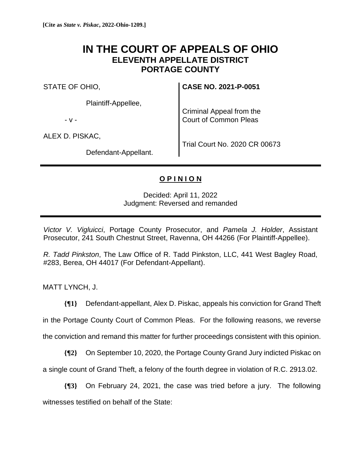## **IN THE COURT OF APPEALS OF OHIO ELEVENTH APPELLATE DISTRICT PORTAGE COUNTY**

STATE OF OHIO,

Plaintiff-Appellee,

- v -

ALEX D. PISKAC,

**CASE NO. 2021-P-0051**

Criminal Appeal from the Court of Common Pleas

Defendant-Appellant.

Trial Court No. 2020 CR 00673

## **O P I N I O N**

Decided: April 11, 2022 Judgment: Reversed and remanded

*Victor V. Vigluicci*, Portage County Prosecutor, and *Pamela J. Holder*, Assistant Prosecutor, 241 South Chestnut Street, Ravenna, OH 44266 (For Plaintiff-Appellee).

*R. Tadd Pinkston*, The Law Office of R. Tadd Pinkston, LLC, 441 West Bagley Road, #283, Berea, OH 44017 (For Defendant-Appellant).

MATT LYNCH, J.

**{¶1}** Defendant-appellant, Alex D. Piskac, appeals his conviction for Grand Theft in the Portage County Court of Common Pleas. For the following reasons, we reverse the conviction and remand this matter for further proceedings consistent with this opinion.

**{¶2}** On September 10, 2020, the Portage County Grand Jury indicted Piskac on

a single count of Grand Theft, a felony of the fourth degree in violation of R.C. 2913.02.

**{¶3}** On February 24, 2021, the case was tried before a jury. The following witnesses testified on behalf of the State: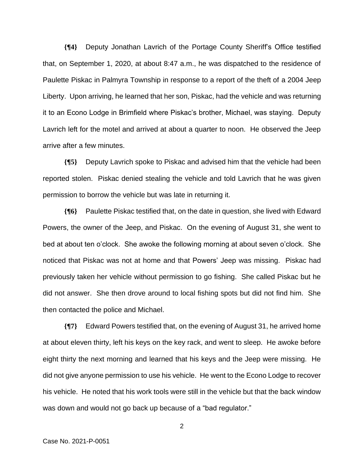**{¶4}** Deputy Jonathan Lavrich of the Portage County Sheriff's Office testified that, on September 1, 2020, at about 8:47 a.m., he was dispatched to the residence of Paulette Piskac in Palmyra Township in response to a report of the theft of a 2004 Jeep Liberty. Upon arriving, he learned that her son, Piskac, had the vehicle and was returning it to an Econo Lodge in Brimfield where Piskac's brother, Michael, was staying. Deputy Lavrich left for the motel and arrived at about a quarter to noon. He observed the Jeep arrive after a few minutes.

**{¶5}** Deputy Lavrich spoke to Piskac and advised him that the vehicle had been reported stolen. Piskac denied stealing the vehicle and told Lavrich that he was given permission to borrow the vehicle but was late in returning it.

**{¶6}** Paulette Piskac testified that, on the date in question, she lived with Edward Powers, the owner of the Jeep, and Piskac. On the evening of August 31, she went to bed at about ten o'clock. She awoke the following morning at about seven o'clock. She noticed that Piskac was not at home and that Powers' Jeep was missing. Piskac had previously taken her vehicle without permission to go fishing. She called Piskac but he did not answer. She then drove around to local fishing spots but did not find him. She then contacted the police and Michael.

**{¶7}** Edward Powers testified that, on the evening of August 31, he arrived home at about eleven thirty, left his keys on the key rack, and went to sleep. He awoke before eight thirty the next morning and learned that his keys and the Jeep were missing. He did not give anyone permission to use his vehicle. He went to the Econo Lodge to recover his vehicle. He noted that his work tools were still in the vehicle but that the back window was down and would not go back up because of a "bad regulator."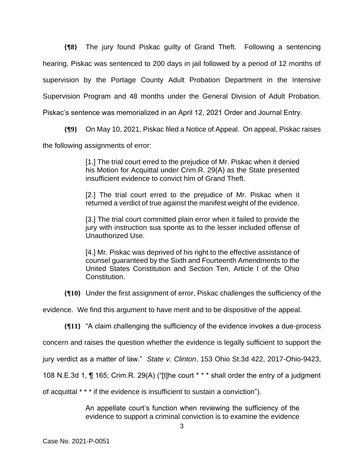**{¶8}** The jury found Piskac guilty of Grand Theft. Following a sentencing hearing, Piskac was sentenced to 200 days in jail followed by a period of 12 months of supervision by the Portage County Adult Probation Department in the Intensive Supervision Program and 48 months under the General Division of Adult Probation. Piskac's sentence was memorialized in an April 12, 2021 Order and Journal Entry.

**{¶9}** On May 10, 2021, Piskac filed a Notice of Appeal. On appeal, Piskac raises

the following assignments of error:

[1.] The trial court erred to the prejudice of Mr. Piskac when it denied his Motion for Acquittal under Crim.R. 29(A) as the State presented insufficient evidence to convict him of Grand Theft.

[2.] The trial court erred to the prejudice of Mr. Piskac when it returned a verdict of true against the manifest weight of the evidence.

[3.] The trial court committed plain error when it failed to provide the jury with instruction sua sponte as to the lesser included offense of Unauthorized Use.

[4.] Mr. Piskac was deprived of his right to the effective assistance of counsel guaranteed by the Sixth and Fourteenth Amendments to the United States Constitution and Section Ten, Article I of the Ohio Constitution.

**{¶10}** Under the first assignment of error, Piskac challenges the sufficiency of the

evidence. We find this argument to have merit and to be dispositive of the appeal.

**{¶11}** "A claim challenging the sufficiency of the evidence invokes a due-process

concern and raises the question whether the evidence is legally sufficient to support the

jury verdict as a matter of law." *State v. Clinton*, 153 Ohio St.3d 422, 2017-Ohio-9423,

108 N.E.3d 1, ¶ 165; Crim.R. 29(A) ("[t]he court \* \* \* shall order the entry of a judgment

of acquittal \* \* \* if the evidence is insufficient to sustain a conviction").

An appellate court's function when reviewing the sufficiency of the evidence to support a criminal conviction is to examine the evidence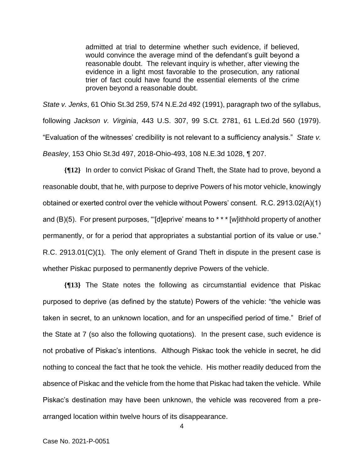admitted at trial to determine whether such evidence, if believed, would convince the average mind of the defendant's guilt beyond a reasonable doubt. The relevant inquiry is whether, after viewing the evidence in a light most favorable to the prosecution, any rational trier of fact could have found the essential elements of the crime proven beyond a reasonable doubt.

*State v. Jenks*, 61 Ohio St.3d 259, 574 N.E.2d 492 (1991), paragraph two of the syllabus, following *Jackson v. Virginia*, 443 U.S. 307, 99 S.Ct. 2781, 61 L.Ed.2d 560 (1979). "Evaluation of the witnesses' credibility is not relevant to a sufficiency analysis." *State v. Beasley*, 153 Ohio St.3d 497, 2018-Ohio-493, 108 N.E.3d 1028, ¶ 207.

**{¶12}** In order to convict Piskac of Grand Theft, the State had to prove, beyond a reasonable doubt, that he, with purpose to deprive Powers of his motor vehicle, knowingly obtained or exerted control over the vehicle without Powers' consent. R.C. 2913.02(A)(1) and (B)(5). For present purposes, "'[d]eprive' means to \* \* \* [w]ithhold property of another permanently, or for a period that appropriates a substantial portion of its value or use." R.C. 2913.01(C)(1). The only element of Grand Theft in dispute in the present case is whether Piskac purposed to permanently deprive Powers of the vehicle.

**{¶13}** The State notes the following as circumstantial evidence that Piskac purposed to deprive (as defined by the statute) Powers of the vehicle: "the vehicle was taken in secret, to an unknown location, and for an unspecified period of time." Brief of the State at 7 (so also the following quotations). In the present case, such evidence is not probative of Piskac's intentions. Although Piskac took the vehicle in secret, he did nothing to conceal the fact that he took the vehicle. His mother readily deduced from the absence of Piskac and the vehicle from the home that Piskac had taken the vehicle. While Piskac's destination may have been unknown, the vehicle was recovered from a prearranged location within twelve hours of its disappearance.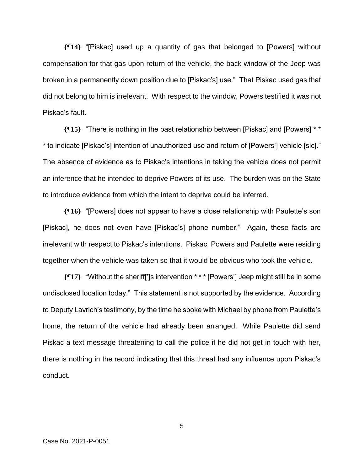**{¶14}** "[Piskac] used up a quantity of gas that belonged to [Powers] without compensation for that gas upon return of the vehicle, the back window of the Jeep was broken in a permanently down position due to [Piskac's] use." That Piskac used gas that did not belong to him is irrelevant. With respect to the window, Powers testified it was not Piskac's fault.

**{¶15}** "There is nothing in the past relationship between [Piskac] and [Powers] \* \* \* to indicate [Piskac's] intention of unauthorized use and return of [Powers'] vehicle [sic]." The absence of evidence as to Piskac's intentions in taking the vehicle does not permit an inference that he intended to deprive Powers of its use. The burden was on the State to introduce evidence from which the intent to deprive could be inferred.

**{¶16}** "[Powers] does not appear to have a close relationship with Paulette's son [Piskac], he does not even have [Piskac's] phone number." Again, these facts are irrelevant with respect to Piskac's intentions. Piskac, Powers and Paulette were residing together when the vehicle was taken so that it would be obvious who took the vehicle.

**{¶17}** "Without the sheriff[']s intervention \* \* \* [Powers'] Jeep might still be in some undisclosed location today." This statement is not supported by the evidence. According to Deputy Lavrich's testimony, by the time he spoke with Michael by phone from Paulette's home, the return of the vehicle had already been arranged. While Paulette did send Piskac a text message threatening to call the police if he did not get in touch with her, there is nothing in the record indicating that this threat had any influence upon Piskac's conduct.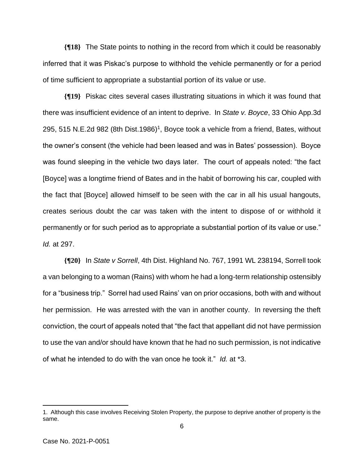**{¶18}** The State points to nothing in the record from which it could be reasonably inferred that it was Piskac's purpose to withhold the vehicle permanently or for a period of time sufficient to appropriate a substantial portion of its value or use.

**{¶19}** Piskac cites several cases illustrating situations in which it was found that there was insufficient evidence of an intent to deprive. In *State v. Boyce*, 33 Ohio App.3d 295, 515 N.E.2d 982 (8th Dist.1986)<sup>1</sup>, Boyce took a vehicle from a friend, Bates, without the owner's consent (the vehicle had been leased and was in Bates' possession). Boyce was found sleeping in the vehicle two days later. The court of appeals noted: "the fact [Boyce] was a longtime friend of Bates and in the habit of borrowing his car, coupled with the fact that [Boyce] allowed himself to be seen with the car in all his usual hangouts, creates serious doubt the car was taken with the intent to dispose of or withhold it permanently or for such period as to appropriate a substantial portion of its value or use." *Id.* at 297.

**{¶20}** In *State v Sorrell*, 4th Dist. Highland No. 767, 1991 WL 238194, Sorrell took a van belonging to a woman (Rains) with whom he had a long-term relationship ostensibly for a "business trip." Sorrel had used Rains' van on prior occasions, both with and without her permission. He was arrested with the van in another county. In reversing the theft conviction, the court of appeals noted that "the fact that appellant did not have permission to use the van and/or should have known that he had no such permission, is not indicative of what he intended to do with the van once he took it." *Id.* at \*3.

<sup>1.</sup> Although this case involves Receiving Stolen Property, the purpose to deprive another of property is the same.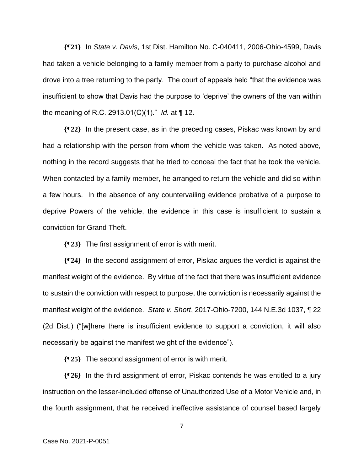**{¶21}** In *State v. Davis*, 1st Dist. Hamilton No. C-040411, 2006-Ohio-4599, Davis had taken a vehicle belonging to a family member from a party to purchase alcohol and drove into a tree returning to the party. The court of appeals held "that the evidence was insufficient to show that Davis had the purpose to 'deprive' the owners of the van within the meaning of R.C. 2913.01(C)(1)." *Id.* at ¶ 12.

**{¶22}** In the present case, as in the preceding cases, Piskac was known by and had a relationship with the person from whom the vehicle was taken. As noted above, nothing in the record suggests that he tried to conceal the fact that he took the vehicle. When contacted by a family member, he arranged to return the vehicle and did so within a few hours. In the absence of any countervailing evidence probative of a purpose to deprive Powers of the vehicle, the evidence in this case is insufficient to sustain a conviction for Grand Theft.

**{¶23}** The first assignment of error is with merit.

**{¶24}** In the second assignment of error, Piskac argues the verdict is against the manifest weight of the evidence. By virtue of the fact that there was insufficient evidence to sustain the conviction with respect to purpose, the conviction is necessarily against the manifest weight of the evidence. *State v. Short*, 2017-Ohio-7200, 144 N.E.3d 1037, ¶ 22 (2d Dist.) ("[w]here there is insufficient evidence to support a conviction, it will also necessarily be against the manifest weight of the evidence").

**{¶25}** The second assignment of error is with merit.

**{¶26}** In the third assignment of error, Piskac contends he was entitled to a jury instruction on the lesser-included offense of Unauthorized Use of a Motor Vehicle and, in the fourth assignment, that he received ineffective assistance of counsel based largely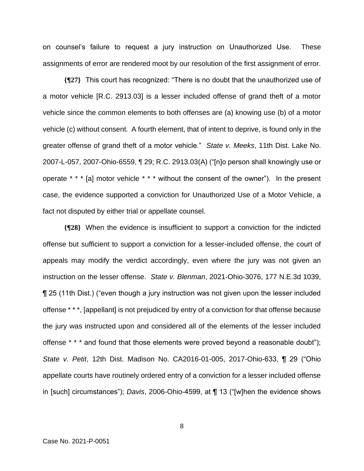on counsel's failure to request a jury instruction on Unauthorized Use. These assignments of error are rendered moot by our resolution of the first assignment of error.

**{¶27}** This court has recognized: "There is no doubt that the unauthorized use of a motor vehicle [R.C. 2913.03] is a lesser included offense of grand theft of a motor vehicle since the common elements to both offenses are (a) knowing use (b) of a motor vehicle (c) without consent. A fourth element, that of intent to deprive, is found only in the greater offense of grand theft of a motor vehicle." *State v. Meeks*, 11th Dist. Lake No. 2007-L-057, 2007-Ohio-6559, ¶ 29; R.C. 2913.03(A) ("[n]o person shall knowingly use or operate \* \* \* [a] motor vehicle \* \* \* without the consent of the owner"). In the present case, the evidence supported a conviction for Unauthorized Use of a Motor Vehicle, a fact not disputed by either trial or appellate counsel.

**{¶28}** When the evidence is insufficient to support a conviction for the indicted offense but sufficient to support a conviction for a lesser-included offense, the court of appeals may modify the verdict accordingly, even where the jury was not given an instruction on the lesser offense. *State v. Blenman*, 2021-Ohio-3076, 177 N.E.3d 1039, ¶ 25 (11th Dist.) ("even though a jury instruction was not given upon the lesser included offense \* \* \*, [appellant] is not prejudiced by entry of a conviction for that offense because the jury was instructed upon and considered all of the elements of the lesser included offense \* \* \* and found that those elements were proved beyond a reasonable doubt"); *State v. Petit*, 12th Dist. Madison No. CA2016-01-005, 2017-Ohio-633, ¶ 29 ("Ohio appellate courts have routinely ordered entry of a conviction for a lesser included offense in [such] circumstances"); *Davis*, 2006-Ohio-4599, at ¶ 13 ("[w]hen the evidence shows